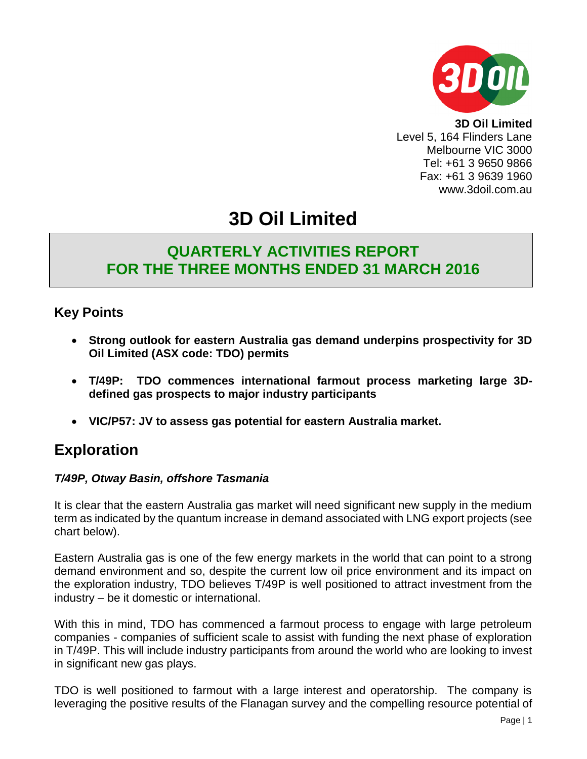

**3D Oil Limited** Level 5, 164 Flinders Lane Melbourne VIC 3000 Tel: +61 3 9650 9866 Fax: +61 3 9639 1960 www.3doil.com.au

# **3D Oil Limited**

## **QUARTERLY ACTIVITIES REPORT FOR THE THREE MONTHS ENDED 31 MARCH 2016**

## **Key Points**

- **Strong outlook for eastern Australia gas demand underpins prospectivity for 3D Oil Limited (ASX code: TDO) permits**
- **T/49P: TDO commences international farmout process marketing large 3Ddefined gas prospects to major industry participants**
- **VIC/P57: JV to assess gas potential for eastern Australia market.**

## **Exploration**

#### *T/49P, Otway Basin, offshore Tasmania*

It is clear that the eastern Australia gas market will need significant new supply in the medium term as indicated by the quantum increase in demand associated with LNG export projects (see chart below).

Eastern Australia gas is one of the few energy markets in the world that can point to a strong demand environment and so, despite the current low oil price environment and its impact on the exploration industry, TDO believes T/49P is well positioned to attract investment from the industry – be it domestic or international.

With this in mind, TDO has commenced a farmout process to engage with large petroleum companies - companies of sufficient scale to assist with funding the next phase of exploration in T/49P. This will include industry participants from around the world who are looking to invest in significant new gas plays.

TDO is well positioned to farmout with a large interest and operatorship. The company is leveraging the positive results of the Flanagan survey and the compelling resource potential of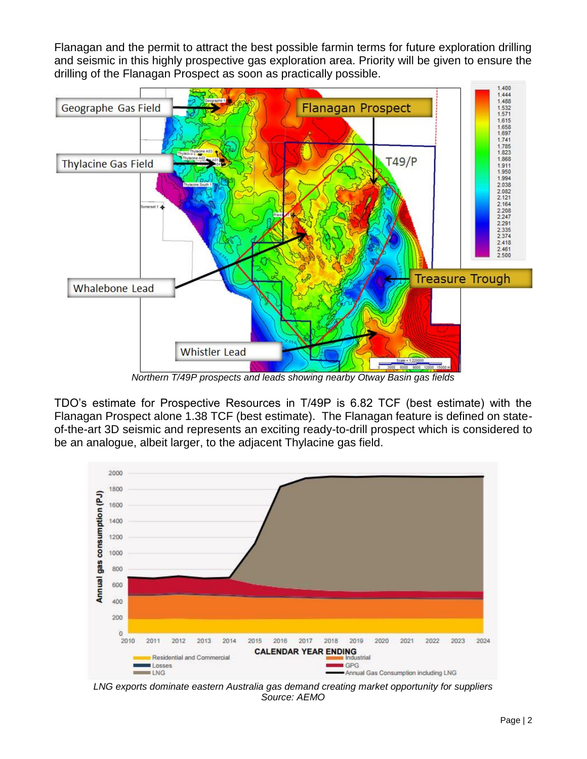Flanagan and the permit to attract the best possible farmin terms for future exploration drilling and seismic in this highly prospective gas exploration area. Priority will be given to ensure the drilling of the Flanagan Prospect as soon as practically possible.



*Northern T/49P prospects and leads showing nearby Otway Basin gas fields*

TDO's estimate for Prospective Resources in T/49P is 6.82 TCF (best estimate) with the Flanagan Prospect alone 1.38 TCF (best estimate). The Flanagan feature is defined on stateof-the-art 3D seismic and represents an exciting ready-to-drill prospect which is considered to be an analogue, albeit larger, to the adjacent Thylacine gas field.



*LNG exports dominate eastern Australia gas demand creating market opportunity for suppliers Source: AEMO*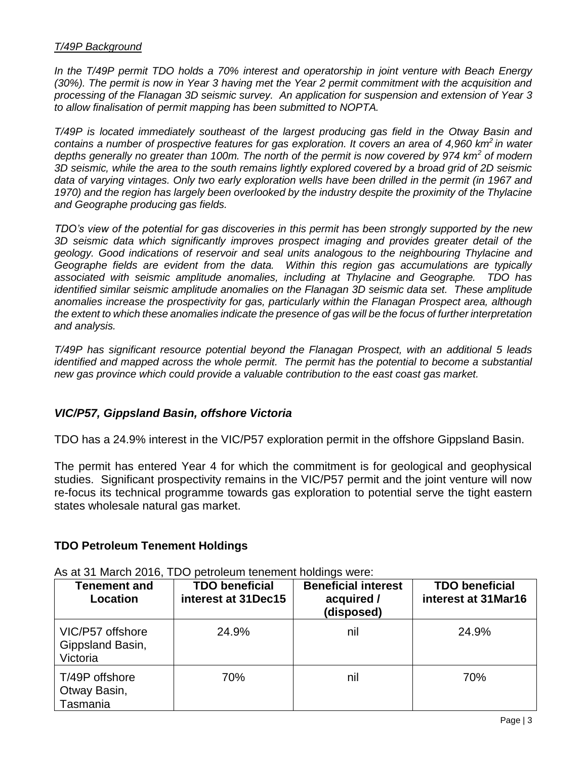#### *T/49P Background*

*In the T/49P permit TDO holds a 70% interest and operatorship in joint venture with Beach Energy (30%). The permit is now in Year 3 having met the Year 2 permit commitment with the acquisition and processing of the Flanagan 3D seismic survey. An application for suspension and extension of Year 3 to allow finalisation of permit mapping has been submitted to NOPTA.*

*T/49P is located immediately southeast of the largest producing gas field in the Otway Basin and contains a number of prospective features for gas exploration. It covers an area of 4,960 km<sup>2</sup>in water depths generally no greater than 100m. The north of the permit is now covered by 974 km<sup>2</sup> of modern 3D seismic, while the area to the south remains lightly explored covered by a broad grid of 2D seismic data of varying vintages. Only two early exploration wells have been drilled in the permit (in 1967 and 1970) and the region has largely been overlooked by the industry despite the proximity of the Thylacine and Geographe producing gas fields.*

*TDO's view of the potential for gas discoveries in this permit has been strongly supported by the new 3D seismic data which significantly improves prospect imaging and provides greater detail of the geology. Good indications of reservoir and seal units analogous to the neighbouring Thylacine and Geographe fields are evident from the data. Within this region gas accumulations are typically associated with seismic amplitude anomalies, including at Thylacine and Geographe. TDO has identified similar seismic amplitude anomalies on the Flanagan 3D seismic data set. These amplitude anomalies increase the prospectivity for gas, particularly within the Flanagan Prospect area, although the extent to which these anomalies indicate the presence of gas will be the focus of further interpretation and analysis.*

*T/49P has significant resource potential beyond the Flanagan Prospect, with an additional 5 leads identified and mapped across the whole permit. The permit has the potential to become a substantial new gas province which could provide a valuable contribution to the east coast gas market.*

#### *VIC/P57, Gippsland Basin, offshore Victoria*

TDO has a 24.9% interest in the VIC/P57 exploration permit in the offshore Gippsland Basin.

The permit has entered Year 4 for which the commitment is for geological and geophysical studies. Significant prospectivity remains in the VIC/P57 permit and the joint venture will now re-focus its technical programme towards gas exploration to potential serve the tight eastern states wholesale natural gas market.

#### **TDO Petroleum Tenement Holdings**

| <b>Tenement and</b><br>Location                  | <b>TDO beneficial</b><br>interest at 31Dec15 | <b>Beneficial interest</b><br>acquired /<br>(disposed) | <b>TDO beneficial</b><br>interest at 31Mar16 |
|--------------------------------------------------|----------------------------------------------|--------------------------------------------------------|----------------------------------------------|
| VIC/P57 offshore<br>Gippsland Basin,<br>Victoria | 24.9%                                        | nil                                                    | 24.9%                                        |
| T/49P offshore<br>Otway Basin,<br>Tasmania       | 70%                                          | nil                                                    | 70%                                          |

As at 31 March 2016, TDO petroleum tenement holdings were: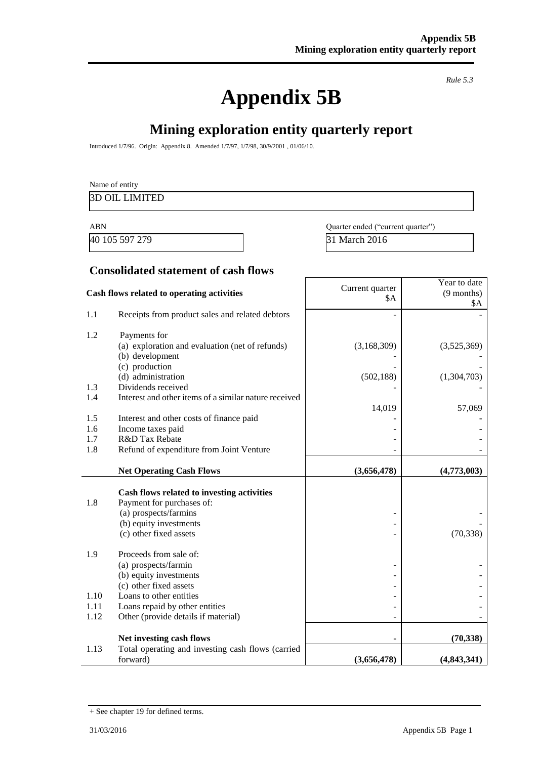# **Appendix 5B**

*Rule 5.3*

# **Mining exploration entity quarterly report**

Introduced 1/7/96. Origin: Appendix 8. Amended 1/7/97, 1/7/98, 30/9/2001 , 01/06/10.

|            | Name of entity                                        |                                   |                     |
|------------|-------------------------------------------------------|-----------------------------------|---------------------|
|            | <b>3D OIL LIMITED</b>                                 |                                   |                     |
| <b>ABN</b> |                                                       | Quarter ended ("current quarter") |                     |
|            | 40 105 597 279                                        | 31 March 2016                     |                     |
|            |                                                       |                                   |                     |
|            | <b>Consolidated statement of cash flows</b>           |                                   |                     |
|            |                                                       | Current quarter                   | Year to date        |
|            | Cash flows related to operating activities            | \$A                               | $(9$ months)<br>\$A |
| 1.1        | Receipts from product sales and related debtors       |                                   |                     |
| 1.2        | Payments for                                          |                                   |                     |
|            | (a) exploration and evaluation (net of refunds)       | (3,168,309)                       | (3,525,369)         |
|            | (b) development                                       |                                   |                     |
|            | (c) production                                        |                                   |                     |
|            | (d) administration<br>Dividends received              | (502, 188)                        | (1,304,703)         |
| 1.3<br>1.4 | Interest and other items of a similar nature received |                                   |                     |
|            |                                                       | 14,019                            | 57,069              |
| 1.5        | Interest and other costs of finance paid              |                                   |                     |
| 1.6        | Income taxes paid                                     |                                   |                     |
| 1.7        | R&D Tax Rebate                                        |                                   |                     |
| 1.8        | Refund of expenditure from Joint Venture              |                                   |                     |
|            | <b>Net Operating Cash Flows</b>                       | (3,656,478)                       | (4,773,003)         |
|            |                                                       |                                   |                     |
|            | Cash flows related to investing activities            |                                   |                     |
| 1.8        | Payment for purchases of:<br>(a) prospects/farmins    |                                   |                     |
|            | (b) equity investments                                |                                   |                     |
|            | (c) other fixed assets                                |                                   | (70, 338)           |
|            |                                                       |                                   |                     |
| 1.9        | Proceeds from sale of:                                |                                   |                     |
|            | (a) prospects/farmin                                  |                                   |                     |
|            | (b) equity investments                                |                                   |                     |
| 1.10       | (c) other fixed assets<br>Loans to other entities     |                                   |                     |
| 1.11       | Loans repaid by other entities                        |                                   |                     |
| 1.12       | Other (provide details if material)                   |                                   |                     |
|            |                                                       |                                   |                     |
|            | Net investing cash flows                              |                                   | (70, 338)           |
| 1.13       | Total operating and investing cash flows (carried     |                                   |                     |
|            | forward)                                              | (3,656,478)                       | (4,843,341)         |

<sup>+</sup> See chapter 19 for defined terms.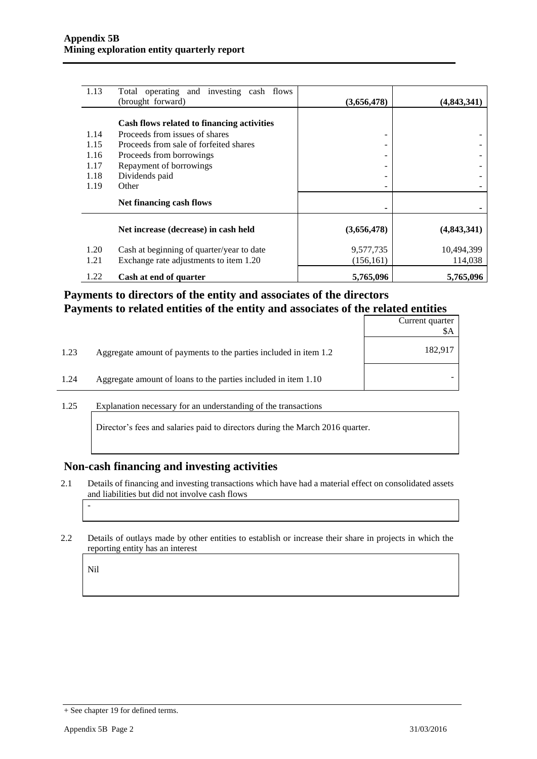| 1.13 | Total operating and investing cash flows   |             |             |
|------|--------------------------------------------|-------------|-------------|
|      | (brought forward)                          | (3,656,478) | (4,843,341) |
|      | Cash flows related to financing activities |             |             |
| 1.14 | Proceeds from issues of shares             |             |             |
| 1.15 | Proceeds from sale of forfeited shares     |             |             |
| 1.16 | Proceeds from borrowings                   |             |             |
| 1.17 | Repayment of borrowings                    |             |             |
| 1.18 | Dividends paid                             |             |             |
| 1.19 | Other                                      |             |             |
|      | Net financing cash flows                   |             |             |
|      | Net increase (decrease) in cash held       | (3,656,478) | (4,843,341) |
| 1.20 | Cash at beginning of quarter/year to date  | 9,577,735   | 10,494,399  |
| 1.21 | Exchange rate adjustments to item 1.20     | (156, 161)  | 114,038     |
| 1.22 | Cash at end of quarter                     | 5,765,096   | 5,765,096   |

#### **Payments to directors of the entity and associates of the directors Payments to related entities of the entity and associates of the related entities**

|      |                                                                  | Current quarter<br>\$A |
|------|------------------------------------------------------------------|------------------------|
| 1.23 | Aggregate amount of payments to the parties included in item 1.2 | 182,917                |
| 1.24 | Aggregate amount of loans to the parties included in item 1.10   |                        |

1.25 Explanation necessary for an understanding of the transactions

Director's fees and salaries paid to directors during the March 2016 quarter.

#### **Non-cash financing and investing activities**

- 2.1 Details of financing and investing transactions which have had a material effect on consolidated assets and liabilities but did not involve cash flows
- 2.2 Details of outlays made by other entities to establish or increase their share in projects in which the reporting entity has an interest

Nil

-

<sup>+</sup> See chapter 19 for defined terms.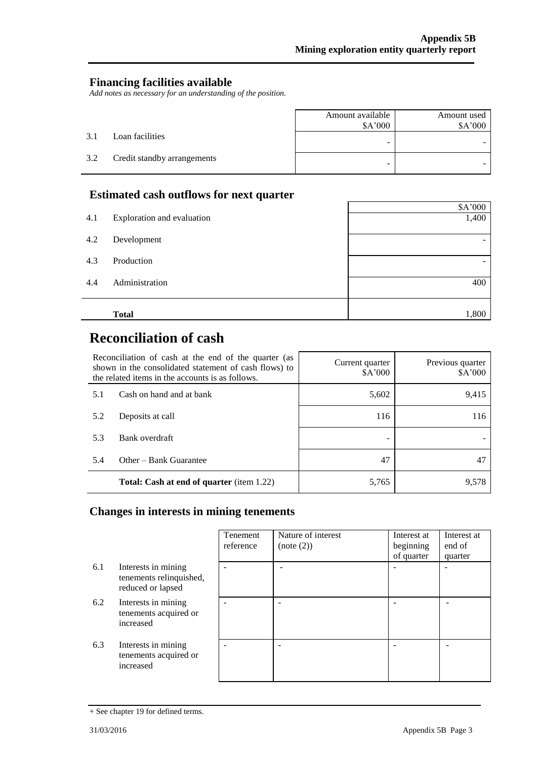#### **Financing facilities available**

*Add notes as necessary for an understanding of the position.*

|     |                             | Amount available<br>\$A'000 | Amount used<br>\$A'000 |
|-----|-----------------------------|-----------------------------|------------------------|
| 3.1 | Loan facilities             | -                           |                        |
| 3.2 | Credit standby arrangements | -                           |                        |

#### **Estimated cash outflows for next quarter**

|     | <b>Total</b>               | 1,800   |
|-----|----------------------------|---------|
| 4.4 | Administration             | 400     |
| 4.3 | Production                 | -       |
| 4.2 | Development                | -       |
| 4.1 | Exploration and evaluation | 1,400   |
|     |                            | \$A'000 |

# **Reconciliation of cash**

| Reconciliation of cash at the end of the quarter (as<br>shown in the consolidated statement of cash flows) to<br>the related items in the accounts is as follows. |                                                  | Current quarter<br>\$A'000 | Previous quarter<br>\$A'000 |
|-------------------------------------------------------------------------------------------------------------------------------------------------------------------|--------------------------------------------------|----------------------------|-----------------------------|
| 5.1                                                                                                                                                               | Cash on hand and at bank                         | 5,602                      | 9,415                       |
| 5.2                                                                                                                                                               | Deposits at call                                 | 116                        | 116                         |
| 5.3                                                                                                                                                               | Bank overdraft                                   |                            |                             |
| 5.4                                                                                                                                                               | Other – Bank Guarantee                           | 47                         |                             |
|                                                                                                                                                                   | <b>Total: Cash at end of quarter</b> (item 1.22) | 5,765                      | 9.578                       |

#### **Changes in interests in mining tenements**

|     |                                                                     | Tenement<br>reference | Nature of interest<br>(note (2)) | Interest at<br>beginning<br>of quarter | Interest at<br>end of<br>quarter |
|-----|---------------------------------------------------------------------|-----------------------|----------------------------------|----------------------------------------|----------------------------------|
| 6.1 | Interests in mining<br>tenements relinquished,<br>reduced or lapsed |                       |                                  |                                        |                                  |
| 6.2 | Interests in mining<br>tenements acquired or<br>increased           |                       |                                  |                                        |                                  |
| 6.3 | Interests in mining<br>tenements acquired or<br>increased           |                       |                                  |                                        |                                  |

<sup>+</sup> See chapter 19 for defined terms.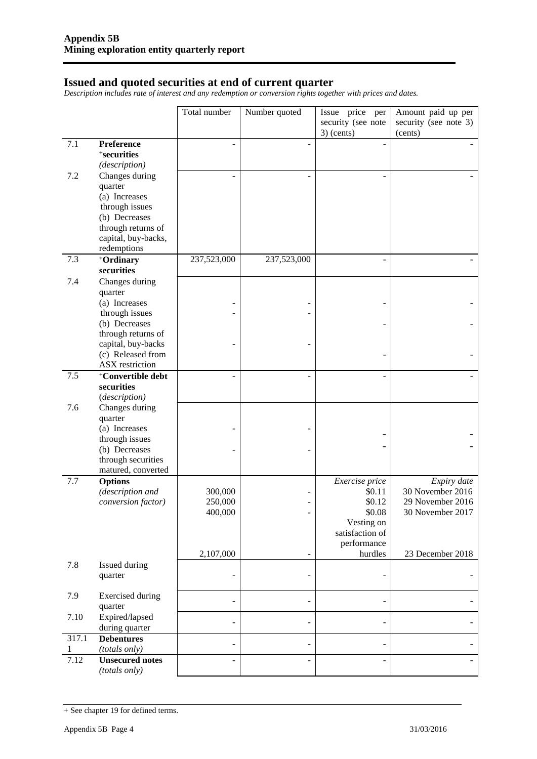#### **Issued and quoted securities at end of current quarter**

*Description includes rate of interest and any redemption or conversion rights together with prices and dates.*

|       |                                                                                                                                                | Total number                  | Number quoted            | Issue price per                                                                              | Amount paid up per                                                      |
|-------|------------------------------------------------------------------------------------------------------------------------------------------------|-------------------------------|--------------------------|----------------------------------------------------------------------------------------------|-------------------------------------------------------------------------|
|       |                                                                                                                                                |                               |                          | security (see note<br>$3)$ (cents)                                                           | security (see note 3)<br>(cents)                                        |
| 7.1   | Preference<br><sup>+</sup> securities<br>(description)                                                                                         |                               | ۰                        |                                                                                              |                                                                         |
| 7.2   | Changes during<br>quarter<br>(a) Increases<br>through issues<br>(b) Decreases<br>through returns of<br>capital, buy-backs,<br>redemptions      |                               |                          | ÷,                                                                                           |                                                                         |
| 7.3   | +Ordinary<br>securities                                                                                                                        | 237,523,000                   | 237,523,000              |                                                                                              |                                                                         |
| 7.4   | Changes during<br>quarter<br>(a) Increases<br>through issues<br>(b) Decreases<br>through returns of<br>capital, buy-backs<br>(c) Released from |                               |                          |                                                                                              |                                                                         |
|       | ASX restriction                                                                                                                                |                               |                          |                                                                                              |                                                                         |
| 7.5   | <sup>+</sup> Convertible debt<br>securities<br>(description)                                                                                   |                               |                          | L,                                                                                           |                                                                         |
| 7.6   | Changes during<br>quarter<br>(a) Increases<br>through issues<br>(b) Decreases<br>through securities<br>matured, converted                      |                               |                          |                                                                                              |                                                                         |
| 7.7   | <b>Options</b><br>(description and<br>conversion factor)                                                                                       | 300,000<br>250,000<br>400,000 |                          | Exercise price<br>\$0.11<br>\$0.12<br>\$0.08<br>Vesting on<br>satisfaction of<br>performance | Expiry date<br>30 November 2016<br>29 November 2016<br>30 November 2017 |
| 7.8   | Issued during<br>quarter                                                                                                                       | 2,107,000                     | $\overline{\phantom{0}}$ | hurdles                                                                                      | 23 December 2018                                                        |
| 7.9   | <b>Exercised</b> during<br>quarter                                                                                                             |                               | $\overline{\phantom{0}}$ | ۰                                                                                            |                                                                         |
| 7.10  | Expired/lapsed<br>during quarter                                                                                                               |                               | $\overline{\phantom{0}}$ | -                                                                                            |                                                                         |
| 317.1 | <b>Debentures</b><br>(totals only)                                                                                                             |                               | $\overline{\phantom{m}}$ | $\overline{\phantom{0}}$                                                                     |                                                                         |
| 7.12  | <b>Unsecured notes</b><br>(totals only)                                                                                                        |                               |                          |                                                                                              |                                                                         |

<sup>+</sup> See chapter 19 for defined terms.